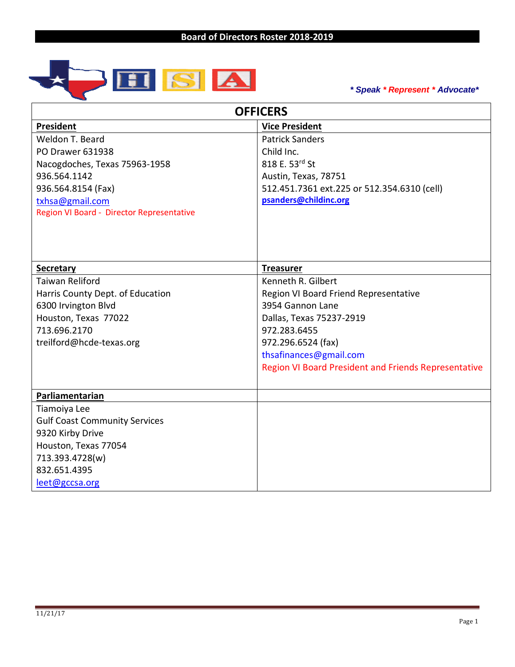

*\* Speak \* Represent \* Advocate\**

| <b>OFFICERS</b>                           |                                                             |  |
|-------------------------------------------|-------------------------------------------------------------|--|
| President                                 | <b>Vice President</b>                                       |  |
| Weldon T. Beard                           | <b>Patrick Sanders</b>                                      |  |
| <b>PO Drawer 631938</b>                   | Child Inc.                                                  |  |
| Nacogdoches, Texas 75963-1958             | 818 E. 53rd St                                              |  |
| 936.564.1142                              | Austin, Texas, 78751                                        |  |
| 936.564.8154 (Fax)                        | 512.451.7361 ext.225 or 512.354.6310 (cell)                 |  |
| txhsa@gmail.com                           | psanders@childinc.org                                       |  |
| Region VI Board - Director Representative |                                                             |  |
|                                           |                                                             |  |
|                                           |                                                             |  |
| <b>Secretary</b>                          | <b>Treasurer</b>                                            |  |
| <b>Taiwan Reliford</b>                    | Kenneth R. Gilbert                                          |  |
| Harris County Dept. of Education          | Region VI Board Friend Representative                       |  |
| 6300 Irvington Blvd                       | 3954 Gannon Lane                                            |  |
| Houston, Texas 77022                      | Dallas, Texas 75237-2919                                    |  |
| 713.696.2170                              | 972.283.6455                                                |  |
| treilford@hcde-texas.org                  | 972.296.6524 (fax)                                          |  |
|                                           | thsafinances@gmail.com                                      |  |
|                                           | <b>Region VI Board President and Friends Representative</b> |  |
|                                           |                                                             |  |
| Parliamentarian                           |                                                             |  |
| Tiamoiya Lee                              |                                                             |  |
| <b>Gulf Coast Community Services</b>      |                                                             |  |
| 9320 Kirby Drive                          |                                                             |  |
| Houston, Texas 77054                      |                                                             |  |
| 713.393.4728(w)                           |                                                             |  |
| 832.651.4395                              |                                                             |  |
| leet@gccsa.org                            |                                                             |  |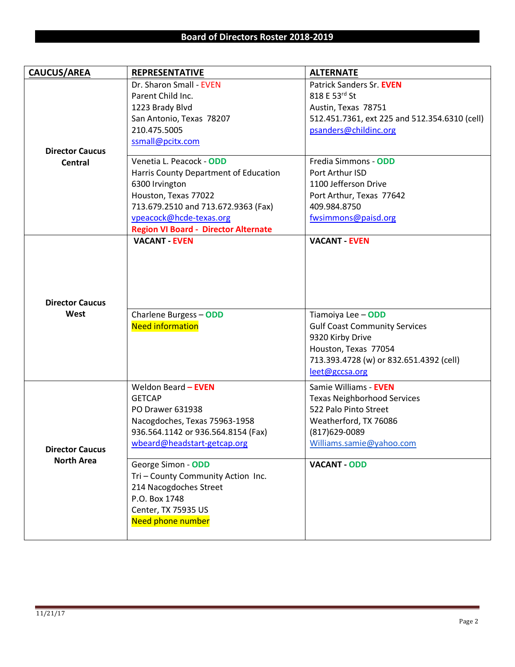| <b>CAUCUS/AREA</b>     | <b>REPRESENTATIVE</b>                       | <b>ALTERNATE</b>                              |
|------------------------|---------------------------------------------|-----------------------------------------------|
|                        | Dr. Sharon Small - EVEN                     | Patrick Sanders Sr. EVEN                      |
|                        | Parent Child Inc.                           | 818 E 53rd St                                 |
|                        | 1223 Brady Blvd                             | Austin, Texas 78751                           |
|                        | San Antonio, Texas 78207                    | 512.451.7361, ext 225 and 512.354.6310 (cell) |
|                        | 210.475.5005                                | psanders@childinc.org                         |
|                        | ssmall@pcitx.com                            |                                               |
| <b>Director Caucus</b> |                                             |                                               |
| <b>Central</b>         | Venetia L. Peacock - ODD                    | Fredia Simmons - ODD                          |
|                        | Harris County Department of Education       | Port Arthur ISD                               |
|                        | 6300 Irvington                              | 1100 Jefferson Drive                          |
|                        | Houston, Texas 77022                        | Port Arthur, Texas 77642                      |
|                        | 713.679.2510 and 713.672.9363 (Fax)         | 409.984.8750                                  |
|                        | vpeacock@hcde-texas.org                     | fwsimmons@paisd.org                           |
|                        | <b>Region VI Board - Director Alternate</b> |                                               |
|                        | <b>VACANT - EVEN</b>                        | <b>VACANT - EVEN</b>                          |
|                        |                                             |                                               |
|                        |                                             |                                               |
|                        |                                             |                                               |
|                        |                                             |                                               |
| <b>Director Caucus</b> |                                             |                                               |
| West                   | Charlene Burgess - ODD                      | Tiamoiya Lee - ODD                            |
|                        | <b>Need information</b>                     | <b>Gulf Coast Community Services</b>          |
|                        |                                             | 9320 Kirby Drive                              |
|                        |                                             | Houston, Texas 77054                          |
|                        |                                             | 713.393.4728 (w) or 832.651.4392 (cell)       |
|                        |                                             | leet@gccsa.org                                |
|                        | Weldon Beard - EVEN                         | Samie Williams - EVEN                         |
|                        | <b>GETCAP</b>                               | <b>Texas Neighborhood Services</b>            |
|                        | PO Drawer 631938                            | 522 Palo Pinto Street                         |
|                        | Nacogdoches, Texas 75963-1958               | Weatherford, TX 76086                         |
|                        | 936.564.1142 or 936.564.8154 (Fax)          | (817) 629-0089                                |
|                        | wbeard@headstart-getcap.org                 | Williams.samie@yahoo.com                      |
| <b>Director Caucus</b> |                                             |                                               |
| <b>North Area</b>      | George Simon - ODD                          | <b>VACANT - ODD</b>                           |
|                        | Tri - County Community Action Inc.          |                                               |
|                        | 214 Nacogdoches Street                      |                                               |
|                        | P.O. Box 1748                               |                                               |
|                        | Center, TX 75935 US                         |                                               |
|                        | Need phone number                           |                                               |
|                        |                                             |                                               |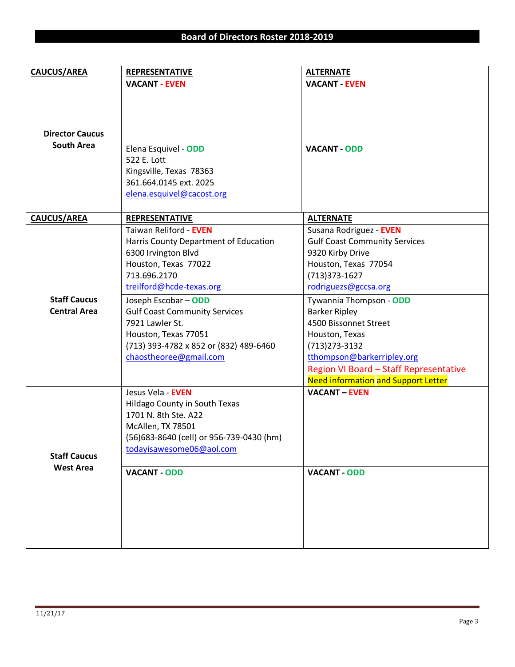| <b>CAUCUS/AREA</b>                         | <b>REPRESENTATIVE</b>                                                                                                                                                                                                                                                                                                                     | <b>ALTERNATE</b>                                                                                                                                                                                                                                                                                                                                 |
|--------------------------------------------|-------------------------------------------------------------------------------------------------------------------------------------------------------------------------------------------------------------------------------------------------------------------------------------------------------------------------------------------|--------------------------------------------------------------------------------------------------------------------------------------------------------------------------------------------------------------------------------------------------------------------------------------------------------------------------------------------------|
|                                            | <b>VACANT - EVEN</b>                                                                                                                                                                                                                                                                                                                      | <b>VACANT - EVEN</b>                                                                                                                                                                                                                                                                                                                             |
| <b>Director Caucus</b>                     |                                                                                                                                                                                                                                                                                                                                           |                                                                                                                                                                                                                                                                                                                                                  |
| <b>South Area</b>                          | Elena Esquivel - ODD<br>522 E. Lott<br>Kingsville, Texas 78363<br>361.664.0145 ext. 2025<br>elena.esquivel@cacost.org                                                                                                                                                                                                                     | <b>VACANT - ODD</b>                                                                                                                                                                                                                                                                                                                              |
| <b>CAUCUS/AREA</b>                         | <b>REPRESENTATIVE</b>                                                                                                                                                                                                                                                                                                                     | <b>ALTERNATE</b>                                                                                                                                                                                                                                                                                                                                 |
| <b>Staff Caucus</b><br><b>Central Area</b> | Taiwan Reliford - EVEN<br>Harris County Department of Education<br>6300 Irvington Blvd<br>Houston, Texas 77022<br>713.696.2170<br>treilford@hcde-texas.org<br>Joseph Escobar - ODD<br><b>Gulf Coast Community Services</b><br>7921 Lawler St.<br>Houston, Texas 77051<br>(713) 393-4782 x 852 or (832) 489-6460<br>chaostheoree@gmail.com | Susana Rodriguez - EVEN<br><b>Gulf Coast Community Services</b><br>9320 Kirby Drive<br>Houston, Texas 77054<br>(713) 373-1627<br>rodriguezs@gccsa.org<br>Tywannia Thompson - ODD<br><b>Barker Ripley</b><br>4500 Bissonnet Street<br>Houston, Texas<br>$(713)273 - 3132$<br>tthompson@barkerripley.org<br>Region VI Board - Staff Representative |
| <b>Staff Caucus</b><br><b>West Area</b>    | Jesus Vela - EVEN<br>Hildago County in South Texas<br>1701 N. 8th Ste. A22<br>McAllen, TX 78501<br>(56) 683-8640 (cell) or 956-739-0430 (hm)<br>todayisawesome06@aol.com<br><b>VACANT - ODD</b>                                                                                                                                           | <b>Need information and Support Letter</b><br><b>VACANT - EVEN</b><br><b>VACANT - ODD</b>                                                                                                                                                                                                                                                        |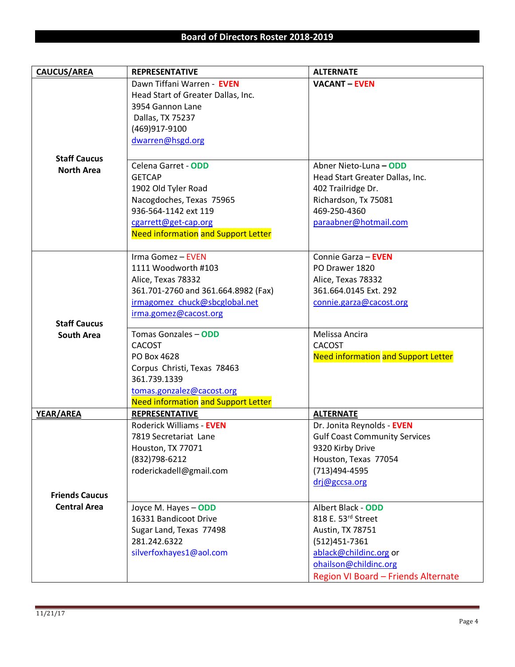| <b>CAUCUS/AREA</b>    | <b>REPRESENTATIVE</b>                      | <b>ALTERNATE</b>                           |
|-----------------------|--------------------------------------------|--------------------------------------------|
|                       | Dawn Tiffani Warren - EVEN                 | <b>VACANT - EVEN</b>                       |
|                       | Head Start of Greater Dallas, Inc.         |                                            |
|                       | 3954 Gannon Lane                           |                                            |
|                       | Dallas, TX 75237                           |                                            |
|                       | (469)917-9100                              |                                            |
|                       | dwarren@hsgd.org                           |                                            |
|                       |                                            |                                            |
| <b>Staff Caucus</b>   | Celena Garret - ODD                        |                                            |
| <b>North Area</b>     |                                            | Abner Nieto-Luna - ODD                     |
|                       | <b>GETCAP</b>                              | Head Start Greater Dallas, Inc.            |
|                       | 1902 Old Tyler Road                        | 402 Trailridge Dr.                         |
|                       | Nacogdoches, Texas 75965                   | Richardson, Tx 75081                       |
|                       | 936-564-1142 ext 119                       | 469-250-4360                               |
|                       | cgarrett@get-cap.org                       | paraabner@hotmail.com                      |
|                       | <b>Need information and Support Letter</b> |                                            |
|                       | Irma Gomez - EVEN                          | Connie Garza - EVEN                        |
|                       | 1111 Woodworth #103                        | PO Drawer 1820                             |
|                       | Alice, Texas 78332                         | Alice, Texas 78332                         |
|                       | 361.701-2760 and 361.664.8982 (Fax)        | 361.664.0145 Ext. 292                      |
|                       | irmagomez chuck@sbcglobal.net              | connie.garza@cacost.org                    |
|                       | irma.gomez@cacost.org                      |                                            |
| <b>Staff Caucus</b>   |                                            |                                            |
| <b>South Area</b>     | Tomas Gonzales - ODD                       | Melissa Ancira                             |
|                       | <b>CACOST</b>                              | <b>CACOST</b>                              |
|                       | PO Box 4628                                | <b>Need information and Support Letter</b> |
|                       | Corpus Christi, Texas 78463                |                                            |
|                       | 361.739.1339                               |                                            |
|                       | tomas.gonzalez@cacost.org                  |                                            |
|                       | <b>Need information and Support Letter</b> |                                            |
| YEAR/AREA             | <b>REPRESENTATIVE</b>                      | <b>ALTERNATE</b>                           |
|                       | Roderick Williams - EVEN                   | Dr. Jonita Reynolds - EVEN                 |
|                       | 7819 Secretariat Lane                      | <b>Gulf Coast Community Services</b>       |
|                       | Houston, TX 77071                          | 9320 Kirby Drive                           |
|                       | (832) 798-6212                             | Houston, Texas 77054                       |
|                       | roderickadell@gmail.com                    | (713)494-4595                              |
|                       |                                            | drj@gccsa.org                              |
| <b>Friends Caucus</b> |                                            |                                            |
| <b>Central Area</b>   | Joyce M. Hayes - ODD                       | Albert Black - ODD                         |
|                       | 16331 Bandicoot Drive                      | 818 E. 53rd Street                         |
|                       | Sugar Land, Texas 77498                    | Austin, TX 78751                           |
|                       | 281.242.6322                               | (512) 451 - 7361                           |
|                       | silverfoxhayes1@aol.com                    | ablack@childinc.org or                     |
|                       |                                            | ohailson@childinc.org                      |
|                       |                                            | Region VI Board - Friends Alternate        |
|                       |                                            |                                            |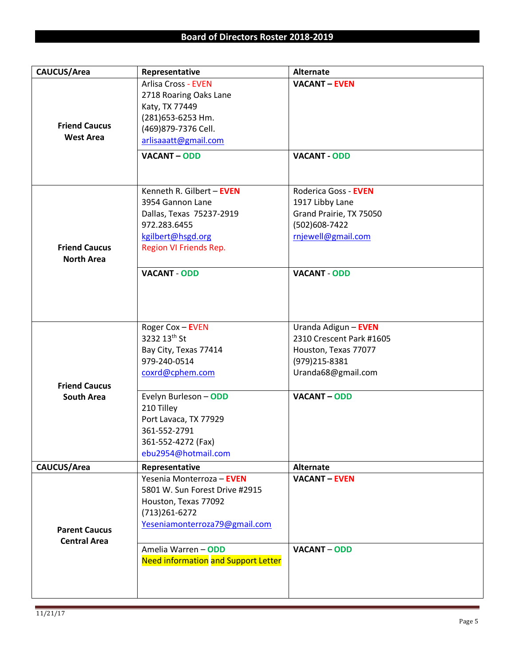| CAUCUS/Area                                 | Representative                                                                                                                                                                                              | <b>Alternate</b>                                                                                                                 |
|---------------------------------------------|-------------------------------------------------------------------------------------------------------------------------------------------------------------------------------------------------------------|----------------------------------------------------------------------------------------------------------------------------------|
| <b>Friend Caucus</b><br><b>West Area</b>    | <b>Arlisa Cross - EVEN</b><br>2718 Roaring Oaks Lane<br>Katy, TX 77449<br>(281)653-6253 Hm.<br>(469) 879-7376 Cell.<br>arlisaaatt@gmail.com<br><b>VACANT-ODD</b>                                            | <b>VACANT - EVEN</b><br><b>VACANT - ODD</b>                                                                                      |
| <b>Friend Caucus</b><br><b>North Area</b>   | Kenneth R. Gilbert - EVEN<br>3954 Gannon Lane<br>Dallas, Texas 75237-2919<br>972.283.6455<br>kgilbert@hsgd.org<br>Region VI Friends Rep.<br><b>VACANT - ODD</b>                                             | Roderica Goss - EVEN<br>1917 Libby Lane<br>Grand Prairie, TX 75050<br>(502)608-7422<br>rnjewell@gmail.com<br><b>VACANT - ODD</b> |
|                                             | Roger Cox - EVEN<br>3232 13th St<br>Bay City, Texas 77414<br>979-240-0514                                                                                                                                   | Uranda Adigun - EVEN<br>2310 Crescent Park #1605<br>Houston, Texas 77077<br>(979)215-8381                                        |
| <b>Friend Caucus</b><br><b>South Area</b>   | coxrd@cphem.com<br>Evelyn Burleson - ODD<br>210 Tilley<br>Port Lavaca, TX 77929<br>361-552-2791<br>361-552-4272 (Fax)<br>ebu2954@hotmail.com                                                                | Uranda68@gmail.com<br><b>VACANT - ODD</b>                                                                                        |
| CAUCUS/Area                                 | Representative                                                                                                                                                                                              | <b>Alternate</b>                                                                                                                 |
| <b>Parent Caucus</b><br><b>Central Area</b> | Yesenia Monterroza - EVEN<br>5801 W. Sun Forest Drive #2915<br>Houston, Texas 77092<br>(713) 261-6272<br>Yeseniamonterroza79@gmail.com<br>Amelia Warren - ODD<br><b>Need information and Support Letter</b> | <b>VACANT - EVEN</b><br><b>VACANT - ODD</b>                                                                                      |